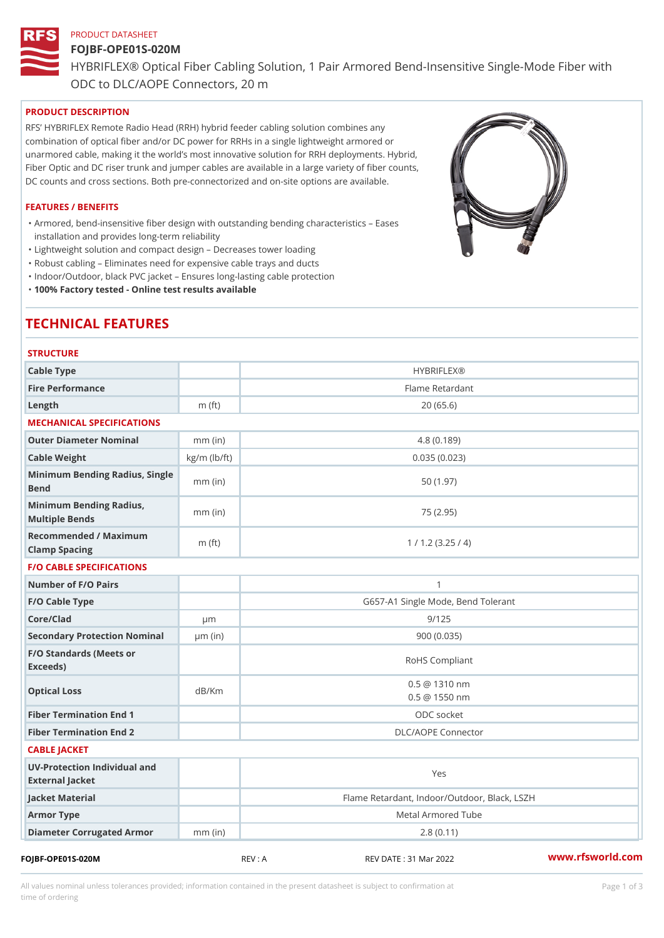# PRODUCT DATASHEET FOJBF-OPE01S-020M HYBRIFLEX® Optical Fiber Cabling Solution, 1 Pair Armored Bend-Inse ODC to DLC/AOPE Connectors, 20 m

## PRODUCT DESCRIPTION

RFS HYBRIFLEX Remote Radio Head (RRH) hybrid feeder cabling solution combines any combination of optical fiber and/or DC power for RRHs in a single lightweight armored or unarmored cable, making it the world s most innovative solution for RRH deployments. Hybrid, Fiber Optic and DC riser trunk and jumper cables are available in a large variety of fiber counts, DC counts and cross sections. Both pre-connectorized and on-site options are available.

#### FEATURES / BENEFITS

Armored, bend-insensitive fiber design with outstanding bending characteristics Eases " installation and provides long-term reliability

"Lightweight solution and compact design Decreases tower loading

"Robust cabling Eliminates need for expensive cable trays and ducts

"Indoor/Outdoor, black PVC jacket Ensures long-lasting cable protection

"100% Factory tested - Online test results available

# TECHNICAL FEATURES

| <b>STRUCTURE</b>                                  |                    |                                                |
|---------------------------------------------------|--------------------|------------------------------------------------|
| Cable Type                                        |                    | <b>HYBRIFLEX®</b>                              |
| Fire Performance                                  |                    | Flame Retardant                                |
| $L$ ength                                         | m $(ft)$           | 20(65.6)                                       |
| MECHANICAL SPECIFICATIONS                         |                    |                                                |
| Outer Diameter Nominal                            | $mm$ (in)          | 4.8(0.189)                                     |
| Cable Weight                                      | $kg/m$ ( $lb/ft$ ) | 0.035(0.023)                                   |
| Minimum Bending Radius, Single<br>mm (in)<br>Bend |                    | 50 (1.97)                                      |
| Minimum Bending Radius, mm (in)<br>Multiple Bends |                    | 75 (2.95)                                      |
| Recommended / Maximum<br>Clamp Spacing            | m $(ft)$           | 1 / 1.2 (3.25 / 4)                             |
| <b>F/O CABLE SPECIFICATIONS</b>                   |                    |                                                |
| Number of F/O Pairs                               |                    | $\mathbf{1}$                                   |
| F/O Cable Type                                    |                    | G657-A1 Single Mode, Bend Tolerant             |
| Core/Clad                                         | $\mu$ m            | 9/125                                          |
| Secondary Protection Nomumal(in)                  |                    | 900(0.035)                                     |
| F/O Standards (Meets or<br>Exceeds)               |                    | RoHS Compliant                                 |
| Optical Loss                                      | dB/Km              | $0.5 \ @ \ 1310 \ nm$<br>$0.5 \ @ \ 1550 \ nm$ |
| Fiber Termination End                             |                    | ODC socket                                     |
| Fiber Termination End 2                           |                    | DLC/AOPE Connector                             |
| CABLE JACKET                                      |                    |                                                |
| UV-Protection Individual and<br>External Jacket   |                    | Yes                                            |
| Jacket Material                                   |                    | Flame Retardant, Indoor/Outdoor, Black, LSZH   |
| Armor Type                                        |                    | Metal Armored Tube                             |
| Diameter Corrugated Armomm (in)                   |                    | 2.8(0.11)                                      |
|                                                   |                    |                                                |

FOJBF-OPE01S-020M REV : A REV DATE : 31 Mar 2022 [www.](https://www.rfsworld.com)rfsworld.com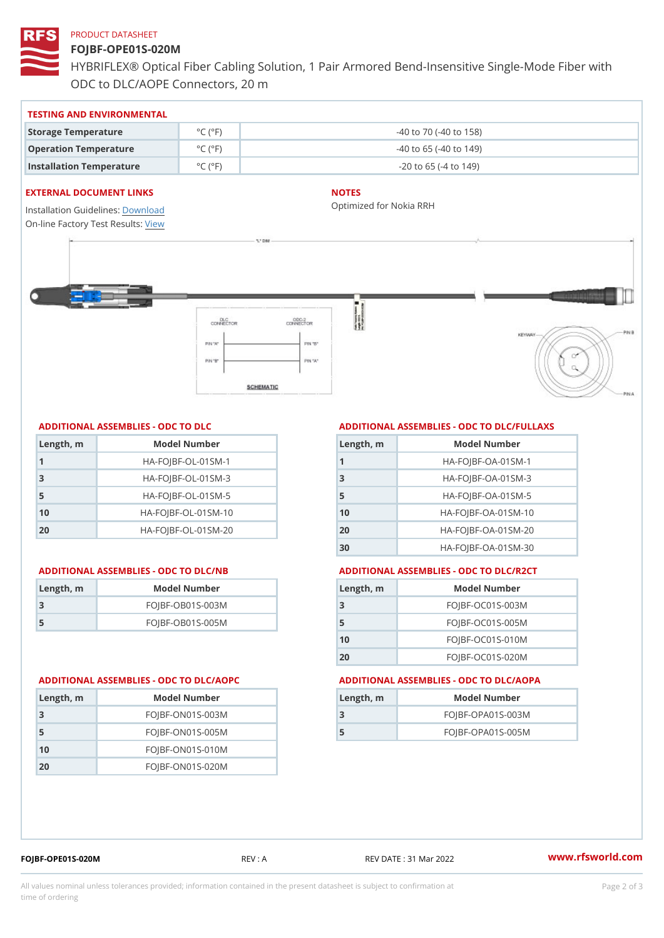# PRODUCT DATASHEET

## FOJBF-OPE01S-020M

HYBRIFLEX® Optical Fiber Cabling Solution, 1 Pair Armored Bend-Inse ODC to DLC/AOPE Connectors, 20 m

#### TESTING AND ENVIRONMENTAL

| Storage Temperature              | $^{\circ}$ C ( $^{\circ}$ F $\vert$ | $-40$ to $70$ ( $-40$ to $158$ ) |
|----------------------------------|-------------------------------------|----------------------------------|
| Operation Temperature            | $^{\circ}$ C ( $^{\circ}$ F $\vert$ | $-40$ to 65 ( $-40$ to 149)      |
| Installation Temperature °C (°F) |                                     | $-20$ to 65 ( $-4$ to 149)       |

#### EXTERNAL DOCUMENT LINKS

Installation Guidelwinessad On-line Factory Te[s](https://www.rfsworld.com/pictures/userfiles/programs/AAST Latest Version.zip)teResults:

## NOTES

Optimized for Nokia RRH

#### ADDITIONAL ASSEMBLIES - ODC TO DLC

| Length, m | Model Number                 |
|-----------|------------------------------|
|           | $HA - FOJBF - OL - 01SM - 1$ |
| -3        | $HA - FOJBF - OL - 01SM - 3$ |
| 5         | $HA - FOJBF - OL - 01SM - 5$ |
| 10        | $HA-FOJBF-OL-01SM-10$        |
| 20        | $HA-FOJBF-OL-01SM-20$        |

| ∥Length, r <mark>n</mark> | Model Number       |
|---------------------------|--------------------|
| - 3                       | $FOJBF-OBO1S-OO3M$ |
| -5                        | FOJBF-OB01S-005M   |

#### ADDITIONAL ASSEMBLIES - ODC TO DLC/FULLAXS

| Length, m | Model Number                  |
|-----------|-------------------------------|
|           | $HA - FOJBF - OA - 01SM - 1$  |
| -3        | $HA - FOJBF - OA - 01SM - B$  |
| 5         | $HA - FOJBF - OA - 01SM - 5$  |
| 10        | $HA - FOJBF - OA - 01SM - 10$ |
| 20        | $HA-FOJBF-OA-01SM-20$         |
| 30        | $HA-FOJBF-OA-01SM-30$         |

#### ADDITIONAL ASSEMBLIES - ODC TO DLC/NB ADDITIONAL ASSEMBLIES - ODC TO DLC/R2CT

| Length, m | Model Number       |
|-----------|--------------------|
| -3        | FOJBF-OC01S-003M   |
| 5         | FOJBF-OC01S-005M   |
| 10        | $FOJBF-OCO1S-010M$ |
| 20        | FOJBF-OC01S-020M   |

#### ADDITIONAL ASSEMBLIES - ODC TO DLC/AOPC ADDITIONAL ASSEMBLIES - ODC TO DLC/AOPA

| Length, m | Model Number       |
|-----------|--------------------|
| 3         | $FOJBF-ONO1S-003M$ |
| -5        | $FOJBF-ONO1S-005M$ |
| 10        | $FOJBF-ON01S-010M$ |
| 20        | $FOJBF-ONO1S-020M$ |

| Length, m | Model Number        |
|-----------|---------------------|
| 3         | $FOJBF-OPAO1S-003M$ |
| -5        | $FOJBF-OPAO1S-005M$ |

FOJBF-OPE01S-020M REV : A REV DATE : 31 Mar 2022 [www.](https://www.rfsworld.com)rfsworld.com

All values nominal unless tolerances provided; information contained in the present datasheet is subject to Pcapgelio an atio time of ordering